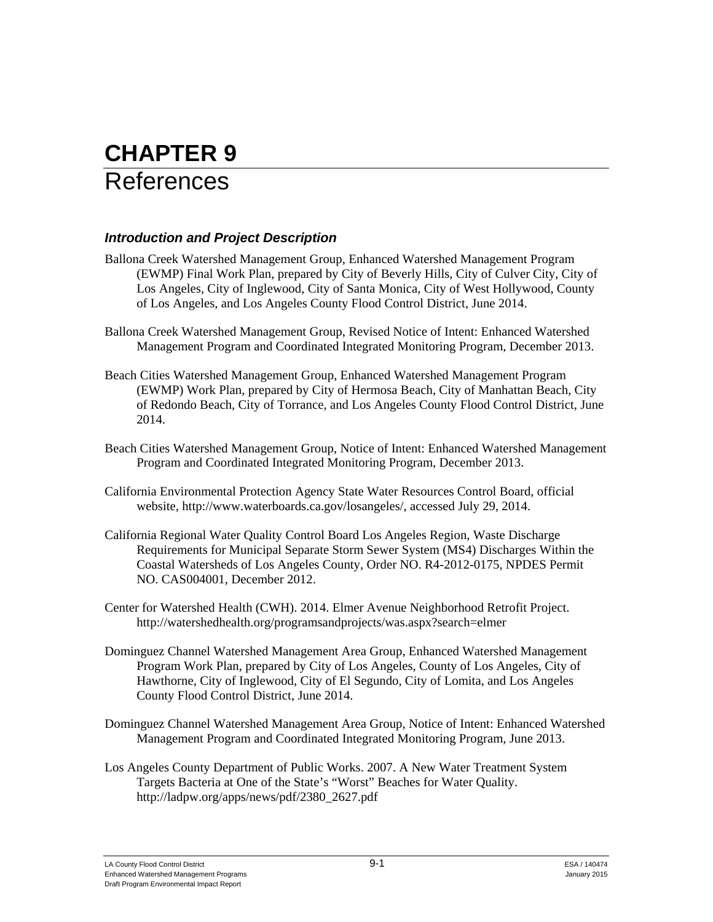# **CHAPTER 9**  References

# *Introduction and Project Description*

- Ballona Creek Watershed Management Group, Enhanced Watershed Management Program (EWMP) Final Work Plan, prepared by City of Beverly Hills, City of Culver City, City of Los Angeles, City of Inglewood, City of Santa Monica, City of West Hollywood, County of Los Angeles, and Los Angeles County Flood Control District, June 2014.
- Ballona Creek Watershed Management Group, Revised Notice of Intent: Enhanced Watershed Management Program and Coordinated Integrated Monitoring Program, December 2013.
- Beach Cities Watershed Management Group, Enhanced Watershed Management Program (EWMP) Work Plan, prepared by City of Hermosa Beach, City of Manhattan Beach, City of Redondo Beach, City of Torrance, and Los Angeles County Flood Control District, June 2014.
- Beach Cities Watershed Management Group, Notice of Intent: Enhanced Watershed Management Program and Coordinated Integrated Monitoring Program, December 2013.
- California Environmental Protection Agency State Water Resources Control Board, official website, http://www.waterboards.ca.gov/losangeles/, accessed July 29, 2014.
- California Regional Water Quality Control Board Los Angeles Region, Waste Discharge Requirements for Municipal Separate Storm Sewer System (MS4) Discharges Within the Coastal Watersheds of Los Angeles County, Order NO. R4-2012-0175, NPDES Permit NO. CAS004001, December 2012.
- Center for Watershed Health (CWH). 2014. Elmer Avenue Neighborhood Retrofit Project. http://watershedhealth.org/programsandprojects/was.aspx?search=elmer
- Dominguez Channel Watershed Management Area Group, Enhanced Watershed Management Program Work Plan, prepared by City of Los Angeles, County of Los Angeles, City of Hawthorne, City of Inglewood, City of El Segundo, City of Lomita, and Los Angeles County Flood Control District, June 2014.
- Dominguez Channel Watershed Management Area Group, Notice of Intent: Enhanced Watershed Management Program and Coordinated Integrated Monitoring Program, June 2013.
- Los Angeles County Department of Public Works. 2007. A New Water Treatment System Targets Bacteria at One of the State's "Worst" Beaches for Water Quality. http://ladpw.org/apps/news/pdf/2380\_2627.pdf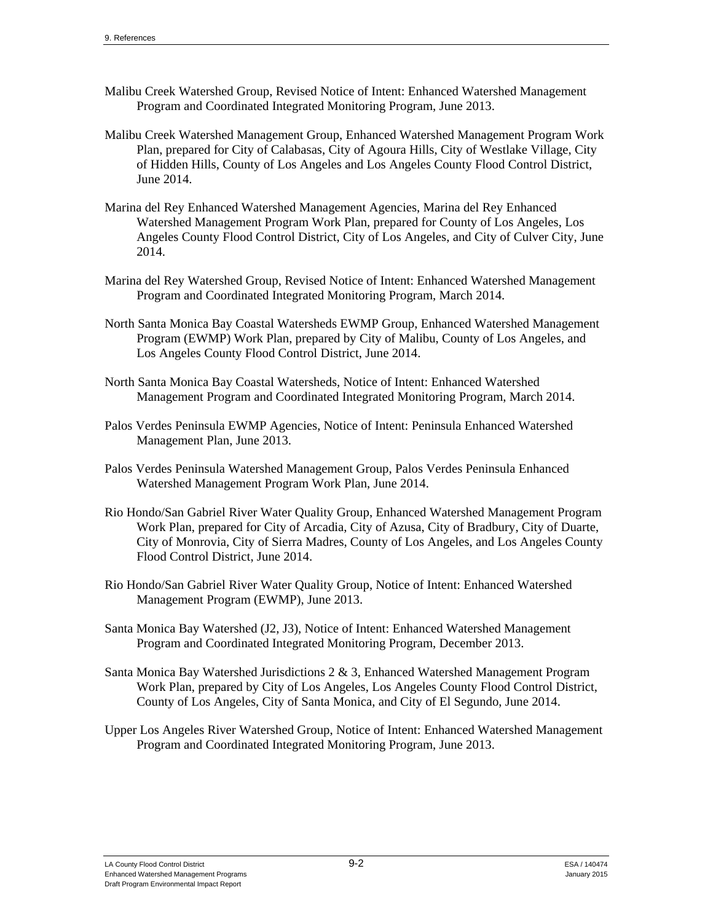- Malibu Creek Watershed Group, Revised Notice of Intent: Enhanced Watershed Management Program and Coordinated Integrated Monitoring Program, June 2013.
- Malibu Creek Watershed Management Group, Enhanced Watershed Management Program Work Plan, prepared for City of Calabasas, City of Agoura Hills, City of Westlake Village, City of Hidden Hills, County of Los Angeles and Los Angeles County Flood Control District, June 2014.
- Marina del Rey Enhanced Watershed Management Agencies, Marina del Rey Enhanced Watershed Management Program Work Plan, prepared for County of Los Angeles, Los Angeles County Flood Control District, City of Los Angeles, and City of Culver City, June 2014.
- Marina del Rey Watershed Group, Revised Notice of Intent: Enhanced Watershed Management Program and Coordinated Integrated Monitoring Program, March 2014.
- North Santa Monica Bay Coastal Watersheds EWMP Group, Enhanced Watershed Management Program (EWMP) Work Plan, prepared by City of Malibu, County of Los Angeles, and Los Angeles County Flood Control District, June 2014.
- North Santa Monica Bay Coastal Watersheds, Notice of Intent: Enhanced Watershed Management Program and Coordinated Integrated Monitoring Program, March 2014.
- Palos Verdes Peninsula EWMP Agencies, Notice of Intent: Peninsula Enhanced Watershed Management Plan, June 2013.
- Palos Verdes Peninsula Watershed Management Group, Palos Verdes Peninsula Enhanced Watershed Management Program Work Plan, June 2014.
- Rio Hondo/San Gabriel River Water Quality Group, Enhanced Watershed Management Program Work Plan, prepared for City of Arcadia, City of Azusa, City of Bradbury, City of Duarte, City of Monrovia, City of Sierra Madres, County of Los Angeles, and Los Angeles County Flood Control District, June 2014.
- Rio Hondo/San Gabriel River Water Quality Group, Notice of Intent: Enhanced Watershed Management Program (EWMP), June 2013.
- Santa Monica Bay Watershed (J2, J3), Notice of Intent: Enhanced Watershed Management Program and Coordinated Integrated Monitoring Program, December 2013.
- Santa Monica Bay Watershed Jurisdictions 2 & 3, Enhanced Watershed Management Program Work Plan, prepared by City of Los Angeles, Los Angeles County Flood Control District, County of Los Angeles, City of Santa Monica, and City of El Segundo, June 2014.
- Upper Los Angeles River Watershed Group, Notice of Intent: Enhanced Watershed Management Program and Coordinated Integrated Monitoring Program, June 2013.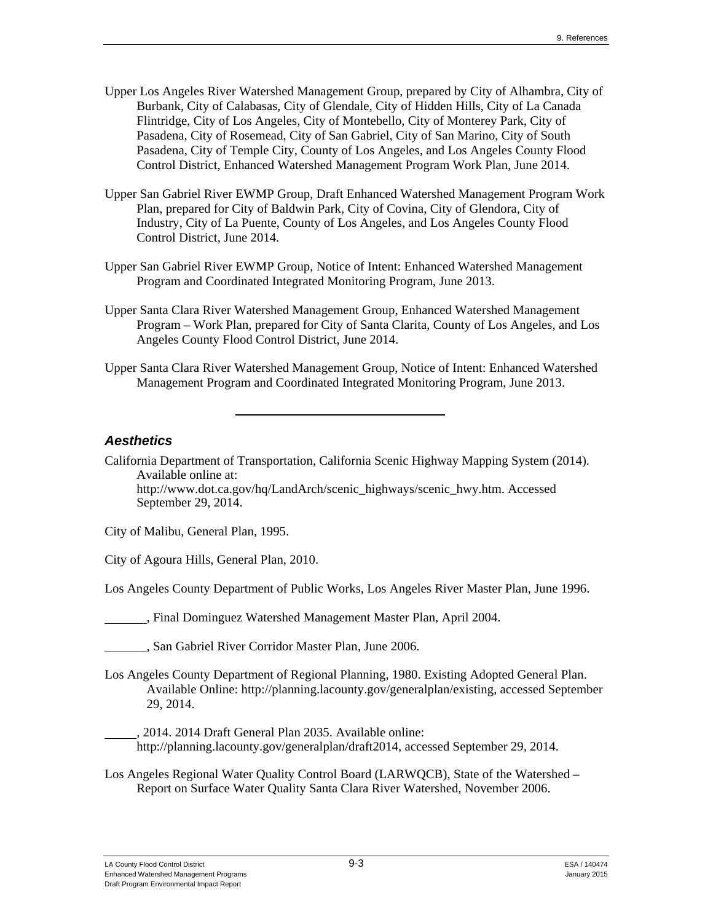- Upper Los Angeles River Watershed Management Group, prepared by City of Alhambra, City of Burbank, City of Calabasas, City of Glendale, City of Hidden Hills, City of La Canada Flintridge, City of Los Angeles, City of Montebello, City of Monterey Park, City of Pasadena, City of Rosemead, City of San Gabriel, City of San Marino, City of South Pasadena, City of Temple City, County of Los Angeles, and Los Angeles County Flood Control District, Enhanced Watershed Management Program Work Plan, June 2014.
- Upper San Gabriel River EWMP Group, Draft Enhanced Watershed Management Program Work Plan, prepared for City of Baldwin Park, City of Covina, City of Glendora, City of Industry, City of La Puente, County of Los Angeles, and Los Angeles County Flood Control District, June 2014.
- Upper San Gabriel River EWMP Group, Notice of Intent: Enhanced Watershed Management Program and Coordinated Integrated Monitoring Program, June 2013.
- Upper Santa Clara River Watershed Management Group, Enhanced Watershed Management Program – Work Plan, prepared for City of Santa Clarita, County of Los Angeles, and Los Angeles County Flood Control District, June 2014.
- Upper Santa Clara River Watershed Management Group, Notice of Intent: Enhanced Watershed Management Program and Coordinated Integrated Monitoring Program, June 2013.

# *Aesthetics*

California Department of Transportation, California Scenic Highway Mapping System (2014). Available online at: http://www.dot.ca.gov/hq/LandArch/scenic\_highways/scenic\_hwy.htm. Accessed September 29, 2014.

City of Malibu, General Plan, 1995.

City of Agoura Hills, General Plan, 2010.

Los Angeles County Department of Public Works, Los Angeles River Master Plan, June 1996.

, Final Dominguez Watershed Management Master Plan, April 2004.

, San Gabriel River Corridor Master Plan, June 2006.

- Los Angeles County Department of Regional Planning, 1980. Existing Adopted General Plan. Available Online: http://planning.lacounty.gov/generalplan/existing, accessed September 29, 2014.
- , 2014. 2014 Draft General Plan 2035. Available online: http://planning.lacounty.gov/generalplan/draft2014, accessed September 29, 2014.
- Los Angeles Regional Water Quality Control Board (LARWQCB), State of the Watershed Report on Surface Water Quality Santa Clara River Watershed, November 2006.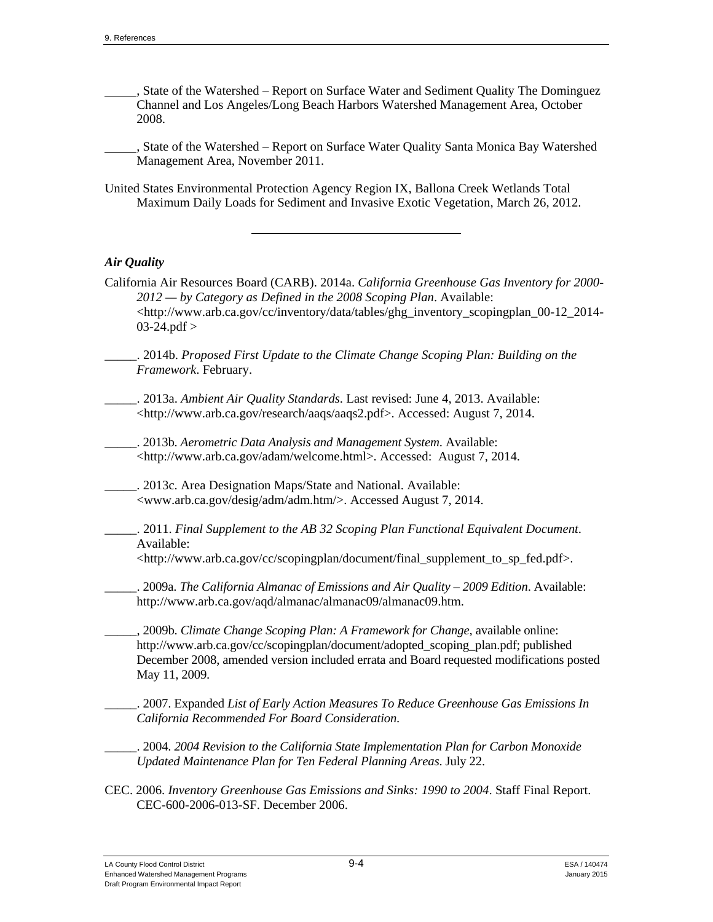, State of the Watershed – Report on Surface Water and Sediment Quality The Dominguez Channel and Los Angeles/Long Beach Harbors Watershed Management Area, October 2008.

 , State of the Watershed – Report on Surface Water Quality Santa Monica Bay Watershed Management Area, November 2011.

United States Environmental Protection Agency Region IX, Ballona Creek Wetlands Total Maximum Daily Loads for Sediment and Invasive Exotic Vegetation, March 26, 2012.

#### *Air Quality*

California Air Resources Board (CARB). 2014a. *California Greenhouse Gas Inventory for 2000- 2012 — by Category as Defined in the 2008 Scoping Plan*. Available: <http://www.arb.ca.gov/cc/inventory/data/tables/ghg\_inventory\_scopingplan\_00-12\_2014- 03-24.pdf >

\_\_\_\_\_. 2014b. *Proposed First Update to the Climate Change Scoping Plan: Building on the Framework*. February.

\_\_\_\_\_. 2013a. *Ambient Air Quality Standards*. Last revised: June 4, 2013. Available: <http://www.arb.ca.gov/research/aaqs/aaqs2.pdf>. Accessed: August 7, 2014.

\_\_\_\_\_. 2013b. *Aerometric Data Analysis and Management System*. Available: <http://www.arb.ca.gov/adam/welcome.html>. Accessed: August 7, 2014.

\_\_\_\_\_. 2013c. Area Designation Maps/State and National. Available: <www.arb.ca.gov/desig/adm/adm.htm/>. Accessed August 7, 2014.

\_\_\_\_\_. 2011. *Final Supplement to the AB 32 Scoping Plan Functional Equivalent Document*. Available:

<http://www.arb.ca.gov/cc/scopingplan/document/final\_supplement\_to\_sp\_fed.pdf>.

\_\_\_\_\_. 2009a. *The California Almanac of Emissions and Air Quality – 2009 Edition*. Available: http://www.arb.ca.gov/aqd/almanac/almanac09/almanac09.htm.

\_\_\_\_\_, 2009b. *Climate Change Scoping Plan: A Framework for Change,* available online: http://www.arb.ca.gov/cc/scopingplan/document/adopted\_scoping\_plan.pdf; published December 2008, amended version included errata and Board requested modifications posted May 11, 2009.

\_\_\_\_\_. 2007. Expanded *List of Early Action Measures To Reduce Greenhouse Gas Emissions In California Recommended For Board Consideration*.

\_\_\_\_\_. 2004. *2004 Revision to the California State Implementation Plan for Carbon Monoxide Updated Maintenance Plan for Ten Federal Planning Areas*. July 22.

CEC. 2006. *Inventory Greenhouse Gas Emissions and Sinks: 1990 to 2004*. Staff Final Report. CEC-600-2006-013-SF. December 2006.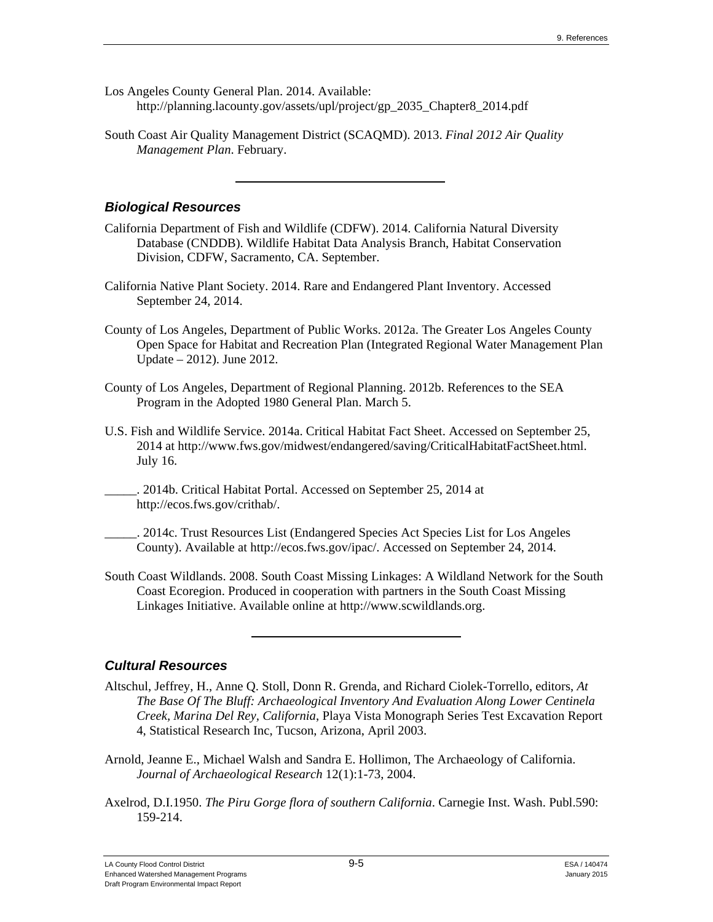- Los Angeles County General Plan. 2014. Available: http://planning.lacounty.gov/assets/upl/project/gp\_2035\_Chapter8\_2014.pdf
- South Coast Air Quality Management District (SCAQMD). 2013. *Final 2012 Air Quality Management Plan*. February.

## *Biological Resources*

- California Department of Fish and Wildlife (CDFW). 2014. California Natural Diversity Database (CNDDB). Wildlife Habitat Data Analysis Branch, Habitat Conservation Division, CDFW, Sacramento, CA. September.
- California Native Plant Society. 2014. Rare and Endangered Plant Inventory. Accessed September 24, 2014.
- County of Los Angeles, Department of Public Works. 2012a. The Greater Los Angeles County Open Space for Habitat and Recreation Plan (Integrated Regional Water Management Plan Update – 2012). June 2012.
- County of Los Angeles, Department of Regional Planning. 2012b. References to the SEA Program in the Adopted 1980 General Plan. March 5.
- U.S. Fish and Wildlife Service. 2014a. Critical Habitat Fact Sheet. Accessed on September 25, 2014 at http://www.fws.gov/midwest/endangered/saving/CriticalHabitatFactSheet.html. July 16.
- \_\_\_\_\_. 2014b. Critical Habitat Portal. Accessed on September 25, 2014 at http://ecos.fws.gov/crithab/.
	- \_\_\_\_\_. 2014c. Trust Resources List (Endangered Species Act Species List for Los Angeles County). Available at http://ecos.fws.gov/ipac/. Accessed on September 24, 2014.
- South Coast Wildlands. 2008. South Coast Missing Linkages: A Wildland Network for the South Coast Ecoregion. Produced in cooperation with partners in the South Coast Missing Linkages Initiative. Available online at http://www.scwildlands.org.

# *Cultural Resources*

- Altschul, Jeffrey, H., Anne Q. Stoll, Donn R. Grenda, and Richard Ciolek-Torrello, editors, *At The Base Of The Bluff: Archaeological Inventory And Evaluation Along Lower Centinela Creek, Marina Del Rey, California*, Playa Vista Monograph Series Test Excavation Report 4, Statistical Research Inc, Tucson, Arizona, April 2003.
- Arnold, Jeanne E., Michael Walsh and Sandra E. Hollimon, The Archaeology of California. *Journal of Archaeological Research* 12(1):1-73, 2004.
- Axelrod, D.I.1950. *The Piru Gorge flora of southern California*. Carnegie Inst. Wash. Publ.590: 159-214.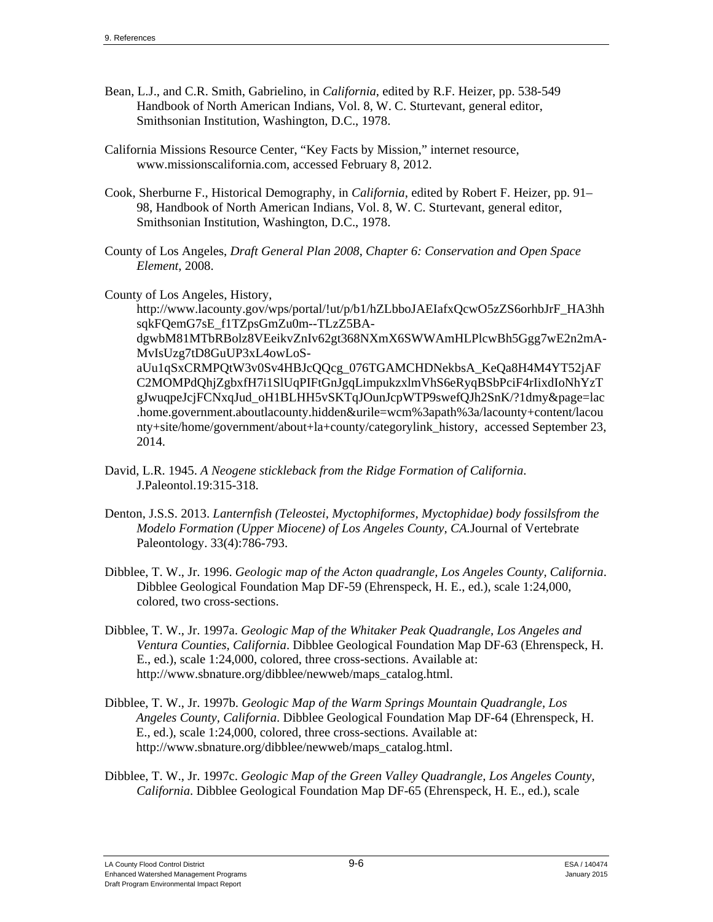- Bean, L.J., and C.R. Smith, Gabrielino, in *California*, edited by R.F. Heizer, pp. 538-549 Handbook of North American Indians, Vol. 8, W. C. Sturtevant, general editor, Smithsonian Institution, Washington, D.C., 1978.
- California Missions Resource Center, "Key Facts by Mission," internet resource, www.missionscalifornia.com, accessed February 8, 2012.
- Cook, Sherburne F., Historical Demography, in *California*, edited by Robert F. Heizer, pp. 91– 98, Handbook of North American Indians, Vol. 8, W. C. Sturtevant, general editor, Smithsonian Institution, Washington, D.C., 1978.
- County of Los Angeles, *Draft General Plan 2008*, *Chapter 6: Conservation and Open Space Element*, 2008.

County of Los Angeles, History,

http://www.lacounty.gov/wps/portal/!ut/p/b1/hZLbboJAEIafxQcwO5zZS6orhbJrF\_HA3hh sqkFQemG7sE\_f1TZpsGmZu0m--TLzZ5BA-

dgwbM81MTbRBolz8VEeikvZnIv62gt368NXmX6SWWAmHLPlcwBh5Ggg7wE2n2mA-MvIsUzg7tD8GuUP3xL4owLoS-

aUu1qSxCRMPQtW3v0Sv4HBJcQQcg\_076TGAMCHDNekbsA\_KeQa8H4M4YT52jAF C2MOMPdQhjZgbxfH7i1SlUqPIFtGnJgqLimpukzxlmVhS6eRyqBSbPciF4rIixdIoNhYzT gJwuqpeJcjFCNxqJud\_oH1BLHH5vSKTqJOunJcpWTP9swefQJh2SnK/?1dmy&page=lac .home.government.aboutlacounty.hidden&urile=wcm%3apath%3a/lacounty+content/lacou nty+site/home/government/about+la+county/categorylink\_history, accessed September 23, 2014.

- David, L.R. 1945. *A Neogene stickleback from the Ridge Formation of California*. J.Paleontol.19:315-318.
- Denton, J.S.S. 2013. *Lanternfish (Teleostei, Myctophiformes, Myctophidae) body fossilsfrom the Modelo Formation (Upper Miocene) of Los Angeles County, CA.*Journal of Vertebrate Paleontology. 33(4):786-793.
- Dibblee, T. W., Jr. 1996. *Geologic map of the Acton quadrangle, Los Angeles County, California*. Dibblee Geological Foundation Map DF-59 (Ehrenspeck, H. E., ed.), scale 1:24,000, colored, two cross-sections.
- Dibblee, T. W., Jr. 1997a. *Geologic Map of the Whitaker Peak Quadrangle, Los Angeles and Ventura Counties, California*. Dibblee Geological Foundation Map DF-63 (Ehrenspeck, H. E., ed.), scale 1:24,000, colored, three cross-sections. Available at: http://www.sbnature.org/dibblee/newweb/maps\_catalog.html.
- Dibblee, T. W., Jr. 1997b. *Geologic Map of the Warm Springs Mountain Quadrangle, Los Angeles County, California*. Dibblee Geological Foundation Map DF-64 (Ehrenspeck, H. E., ed.), scale 1:24,000, colored, three cross-sections. Available at: http://www.sbnature.org/dibblee/newweb/maps\_catalog.html.
- Dibblee, T. W., Jr. 1997c. *Geologic Map of the Green Valley Quadrangle, Los Angeles County, California*. Dibblee Geological Foundation Map DF-65 (Ehrenspeck, H. E., ed.), scale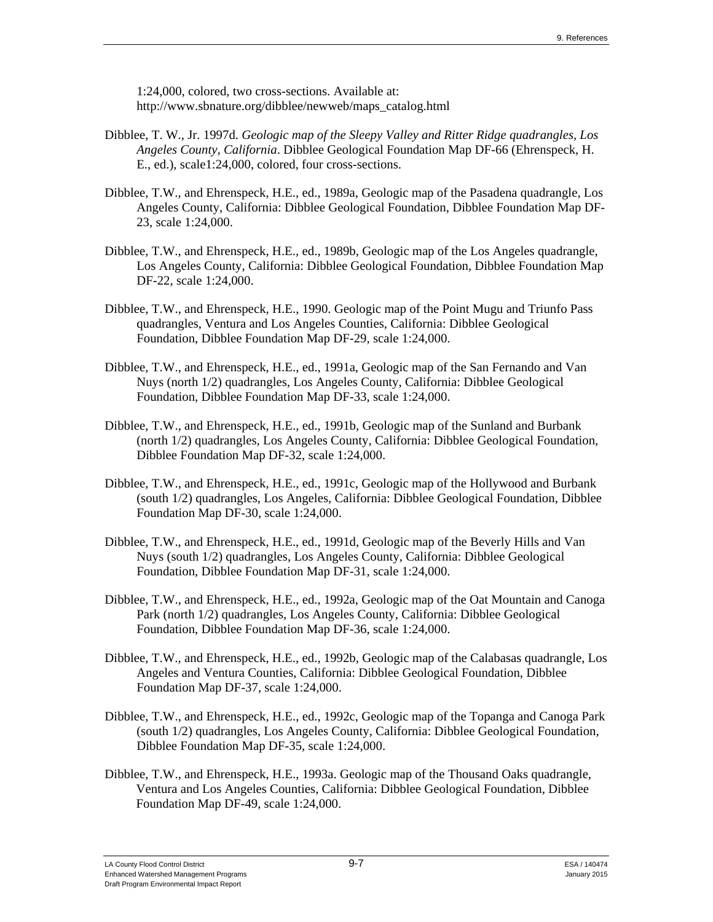1:24,000, colored, two cross-sections. Available at: http://www.sbnature.org/dibblee/newweb/maps\_catalog.html

- Dibblee, T. W., Jr. 1997d. *Geologic map of the Sleepy Valley and Ritter Ridge quadrangles, Los Angeles County, California*. Dibblee Geological Foundation Map DF-66 (Ehrenspeck, H. E., ed.), scale1:24,000, colored, four cross-sections.
- Dibblee, T.W., and Ehrenspeck, H.E., ed., 1989a, Geologic map of the Pasadena quadrangle, Los Angeles County, California: Dibblee Geological Foundation, Dibblee Foundation Map DF-23, scale 1:24,000.
- Dibblee, T.W., and Ehrenspeck, H.E., ed., 1989b, Geologic map of the Los Angeles quadrangle, Los Angeles County, California: Dibblee Geological Foundation, Dibblee Foundation Map DF-22, scale 1:24,000.
- Dibblee, T.W., and Ehrenspeck, H.E., 1990. Geologic map of the Point Mugu and Triunfo Pass quadrangles, Ventura and Los Angeles Counties, California: Dibblee Geological Foundation, Dibblee Foundation Map DF-29, scale 1:24,000.
- Dibblee, T.W., and Ehrenspeck, H.E., ed., 1991a, Geologic map of the San Fernando and Van Nuys (north 1/2) quadrangles, Los Angeles County, California: Dibblee Geological Foundation, Dibblee Foundation Map DF-33, scale 1:24,000.
- Dibblee, T.W., and Ehrenspeck, H.E., ed., 1991b, Geologic map of the Sunland and Burbank (north 1/2) quadrangles, Los Angeles County, California: Dibblee Geological Foundation, Dibblee Foundation Map DF-32, scale 1:24,000.
- Dibblee, T.W., and Ehrenspeck, H.E., ed., 1991c, Geologic map of the Hollywood and Burbank (south 1/2) quadrangles, Los Angeles, California: Dibblee Geological Foundation, Dibblee Foundation Map DF-30, scale 1:24,000.
- Dibblee, T.W., and Ehrenspeck, H.E., ed., 1991d, Geologic map of the Beverly Hills and Van Nuys (south 1/2) quadrangles, Los Angeles County, California: Dibblee Geological Foundation, Dibblee Foundation Map DF-31, scale 1:24,000.
- Dibblee, T.W., and Ehrenspeck, H.E., ed., 1992a, Geologic map of the Oat Mountain and Canoga Park (north 1/2) quadrangles, Los Angeles County, California: Dibblee Geological Foundation, Dibblee Foundation Map DF-36, scale 1:24,000.
- Dibblee, T.W., and Ehrenspeck, H.E., ed., 1992b, Geologic map of the Calabasas quadrangle, Los Angeles and Ventura Counties, California: Dibblee Geological Foundation, Dibblee Foundation Map DF-37, scale 1:24,000.
- Dibblee, T.W., and Ehrenspeck, H.E., ed., 1992c, Geologic map of the Topanga and Canoga Park (south 1/2) quadrangles, Los Angeles County, California: Dibblee Geological Foundation, Dibblee Foundation Map DF-35, scale 1:24,000.
- Dibblee, T.W., and Ehrenspeck, H.E., 1993a. Geologic map of the Thousand Oaks quadrangle, Ventura and Los Angeles Counties, California: Dibblee Geological Foundation, Dibblee Foundation Map DF-49, scale 1:24,000.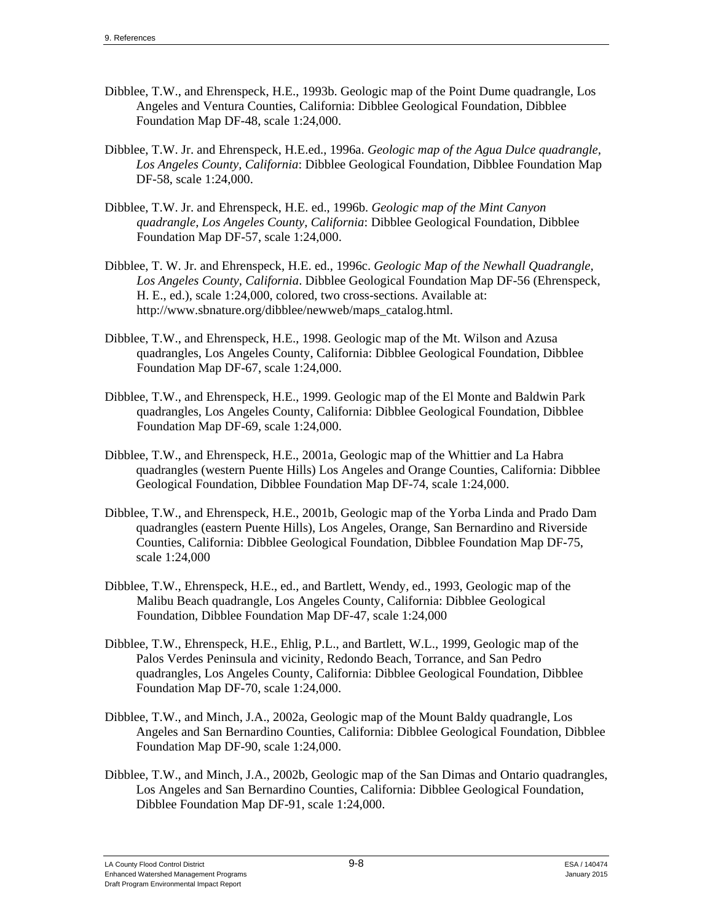- Dibblee, T.W., and Ehrenspeck, H.E., 1993b. Geologic map of the Point Dume quadrangle, Los Angeles and Ventura Counties, California: Dibblee Geological Foundation, Dibblee Foundation Map DF-48, scale 1:24,000.
- Dibblee, T.W. Jr. and Ehrenspeck, H.E.ed., 1996a. *Geologic map of the Agua Dulce quadrangle, Los Angeles County, California*: Dibblee Geological Foundation, Dibblee Foundation Map DF-58, scale 1:24,000.
- Dibblee, T.W. Jr. and Ehrenspeck, H.E. ed., 1996b. *Geologic map of the Mint Canyon quadrangle, Los Angeles County, California*: Dibblee Geological Foundation, Dibblee Foundation Map DF-57, scale 1:24,000.
- Dibblee, T. W. Jr. and Ehrenspeck, H.E. ed., 1996c. *Geologic Map of the Newhall Quadrangle, Los Angeles County, California*. Dibblee Geological Foundation Map DF-56 (Ehrenspeck, H. E., ed.), scale 1:24,000, colored, two cross-sections. Available at: http://www.sbnature.org/dibblee/newweb/maps\_catalog.html.
- Dibblee, T.W., and Ehrenspeck, H.E., 1998. Geologic map of the Mt. Wilson and Azusa quadrangles, Los Angeles County, California: Dibblee Geological Foundation, Dibblee Foundation Map DF-67, scale 1:24,000.
- Dibblee, T.W., and Ehrenspeck, H.E., 1999. Geologic map of the El Monte and Baldwin Park quadrangles, Los Angeles County, California: Dibblee Geological Foundation, Dibblee Foundation Map DF-69, scale 1:24,000.
- Dibblee, T.W., and Ehrenspeck, H.E., 2001a, Geologic map of the Whittier and La Habra quadrangles (western Puente Hills) Los Angeles and Orange Counties, California: Dibblee Geological Foundation, Dibblee Foundation Map DF-74, scale 1:24,000.
- Dibblee, T.W., and Ehrenspeck, H.E., 2001b, Geologic map of the Yorba Linda and Prado Dam quadrangles (eastern Puente Hills), Los Angeles, Orange, San Bernardino and Riverside Counties, California: Dibblee Geological Foundation, Dibblee Foundation Map DF-75, scale 1:24,000
- Dibblee, T.W., Ehrenspeck, H.E., ed., and Bartlett, Wendy, ed., 1993, Geologic map of the Malibu Beach quadrangle, Los Angeles County, California: Dibblee Geological Foundation, Dibblee Foundation Map DF-47, scale 1:24,000
- Dibblee, T.W., Ehrenspeck, H.E., Ehlig, P.L., and Bartlett, W.L., 1999, Geologic map of the Palos Verdes Peninsula and vicinity, Redondo Beach, Torrance, and San Pedro quadrangles, Los Angeles County, California: Dibblee Geological Foundation, Dibblee Foundation Map DF-70, scale 1:24,000.
- Dibblee, T.W., and Minch, J.A., 2002a, Geologic map of the Mount Baldy quadrangle, Los Angeles and San Bernardino Counties, California: Dibblee Geological Foundation, Dibblee Foundation Map DF-90, scale 1:24,000.
- Dibblee, T.W., and Minch, J.A., 2002b, Geologic map of the San Dimas and Ontario quadrangles, Los Angeles and San Bernardino Counties, California: Dibblee Geological Foundation, Dibblee Foundation Map DF-91, scale 1:24,000.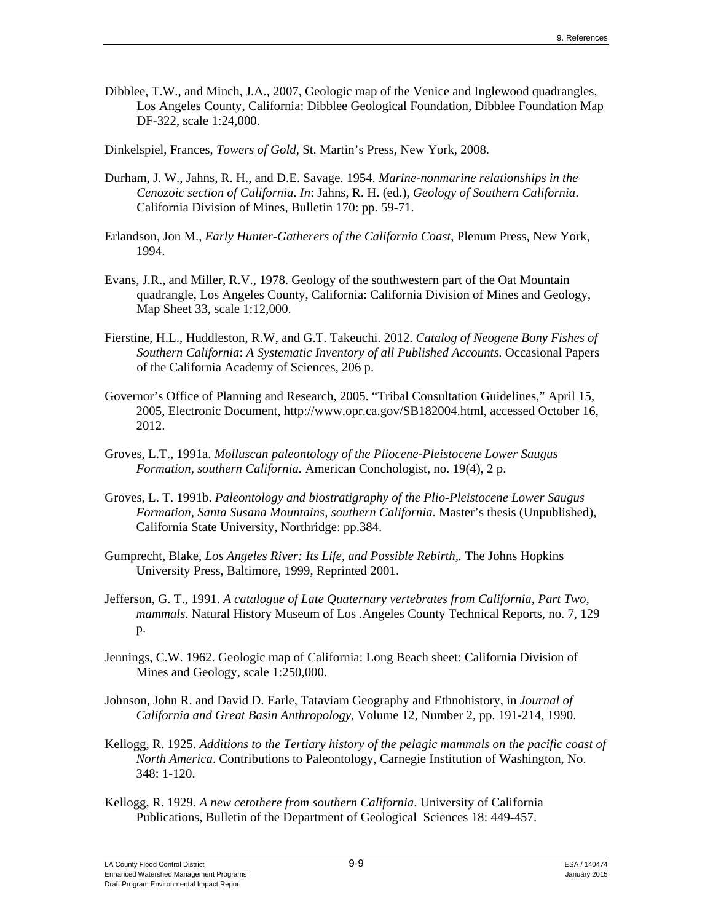Dibblee, T.W., and Minch, J.A., 2007, Geologic map of the Venice and Inglewood quadrangles, Los Angeles County, California: Dibblee Geological Foundation, Dibblee Foundation Map DF-322, scale 1:24,000.

Dinkelspiel, Frances, *Towers of Gold*, St. Martin's Press, New York, 2008.

- Durham, J. W., Jahns, R. H., and D.E. Savage. 1954. *Marine-nonmarine relationships in the Cenozoic section of California*. *In*: Jahns, R. H. (ed.), *Geology of Southern California*. California Division of Mines, Bulletin 170: pp. 59-71.
- Erlandson, Jon M., *Early Hunter-Gatherers of the California Coast*, Plenum Press, New York, 1994.
- Evans, J.R., and Miller, R.V., 1978. Geology of the southwestern part of the Oat Mountain quadrangle, Los Angeles County, California: California Division of Mines and Geology, Map Sheet 33, scale 1:12,000.
- Fierstine, H.L., Huddleston, R.W, and G.T. Takeuchi. 2012. *Catalog of Neogene Bony Fishes of Southern California*: *A Systematic Inventory of all Published Accounts*. Occasional Papers of the California Academy of Sciences, 206 p.
- Governor's Office of Planning and Research, 2005. "Tribal Consultation Guidelines," April 15, 2005, Electronic Document, http://www.opr.ca.gov/SB182004.html, accessed October 16, 2012.
- Groves, L.T., 1991a. *Molluscan paleontology of the Pliocene-Pleistocene Lower Saugus Formation, southern California.* American Conchologist, no. 19(4), 2 p.
- Groves, L. T. 1991b. *Paleontology and biostratigraphy of the Plio-Pleistocene Lower Saugus Formation, Santa Susana Mountains, southern California*. Master's thesis (Unpublished), California State University, Northridge: pp.384.
- Gumprecht, Blake, *Los Angeles River: Its Life, and Possible Rebirth,.* The Johns Hopkins University Press, Baltimore, 1999, Reprinted 2001.
- Jefferson, G. T., 1991. *A catalogue of Late Quaternary vertebrates from California, Part Two, mammals*. Natural History Museum of Los .Angeles County Technical Reports, no. 7, 129 p.
- Jennings, C.W. 1962. Geologic map of California: Long Beach sheet: California Division of Mines and Geology, scale 1:250,000.
- Johnson, John R. and David D. Earle, Tataviam Geography and Ethnohistory, in *Journal of California and Great Basin Anthropology*, Volume 12, Number 2, pp. 191-214, 1990.
- Kellogg, R. 1925. *Additions to the Tertiary history of the pelagic mammals on the pacific coast of North America*. Contributions to Paleontology, Carnegie Institution of Washington, No. 348: 1-120.
- Kellogg, R. 1929. *A new cetothere from southern California*. University of California Publications, Bulletin of the Department of Geological Sciences 18: 449-457.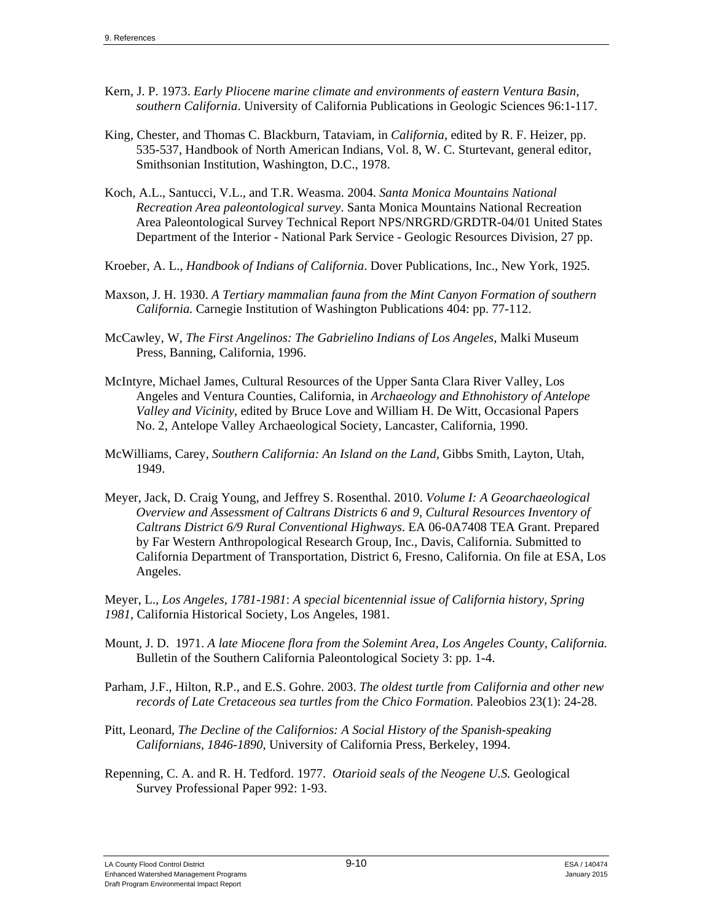- Kern, J. P. 1973. *Early Pliocene marine climate and environments of eastern Ventura Basin, southern California*. University of California Publications in Geologic Sciences 96:1-117.
- King, Chester, and Thomas C. Blackburn, Tataviam, in *California*, edited by R. F. Heizer, pp. 535-537, Handbook of North American Indians, Vol. 8, W. C. Sturtevant, general editor, Smithsonian Institution, Washington, D.C., 1978.
- Koch, A.L., Santucci, V.L., and T.R. Weasma. 2004. *Santa Monica Mountains National Recreation Area paleontological survey*. Santa Monica Mountains National Recreation Area Paleontological Survey Technical Report NPS/NRGRD/GRDTR-04/01 United States Department of the Interior - National Park Service - Geologic Resources Division, 27 pp.
- Kroeber, A. L., *Handbook of Indians of California*. Dover Publications, Inc., New York, 1925.
- Maxson, J. H. 1930. *A Tertiary mammalian fauna from the Mint Canyon Formation of southern California.* Carnegie Institution of Washington Publications 404: pp. 77-112.
- McCawley, W, *The First Angelinos: The Gabrielino Indians of Los Angeles*, Malki Museum Press, Banning, California, 1996.
- McIntyre, Michael James, Cultural Resources of the Upper Santa Clara River Valley, Los Angeles and Ventura Counties, California, in *Archaeology and Ethnohistory of Antelope Valley and Vicinity*, edited by Bruce Love and William H. De Witt, Occasional Papers No. 2, Antelope Valley Archaeological Society, Lancaster, California, 1990.
- McWilliams, Carey, *Southern California: An Island on the Land*, Gibbs Smith, Layton, Utah, 1949.
- Meyer, Jack, D. Craig Young, and Jeffrey S. Rosenthal. 2010. *Volume I: A Geoarchaeological Overview and Assessment of Caltrans Districts 6 and 9, Cultural Resources Inventory of Caltrans District 6/9 Rural Conventional Highways*. EA 06-0A7408 TEA Grant. Prepared by Far Western Anthropological Research Group, Inc., Davis, California. Submitted to California Department of Transportation, District 6, Fresno, California. On file at ESA, Los Angeles.

Meyer, L., *Los Angeles, 1781-1981*: *A special bicentennial issue of California history, Spring 1981*, California Historical Society, Los Angeles, 1981.

- Mount, J. D. 1971. *A late Miocene flora from the Solemint Area, Los Angeles County, California.*  Bulletin of the Southern California Paleontological Society 3: pp. 1-4.
- Parham, J.F., Hilton, R.P., and E.S. Gohre. 2003. *The oldest turtle from California and other new records of Late Cretaceous sea turtles from the Chico Formation*. Paleobios 23(1): 24-28.
- Pitt, Leonard, *The Decline of the Californios: A Social History of the Spanish-speaking Californians, 1846-1890*, University of California Press, Berkeley, 1994.
- Repenning, C. A. and R. H. Tedford. 1977. *Otarioid seals of the Neogene U.S.* Geological Survey Professional Paper 992: 1-93.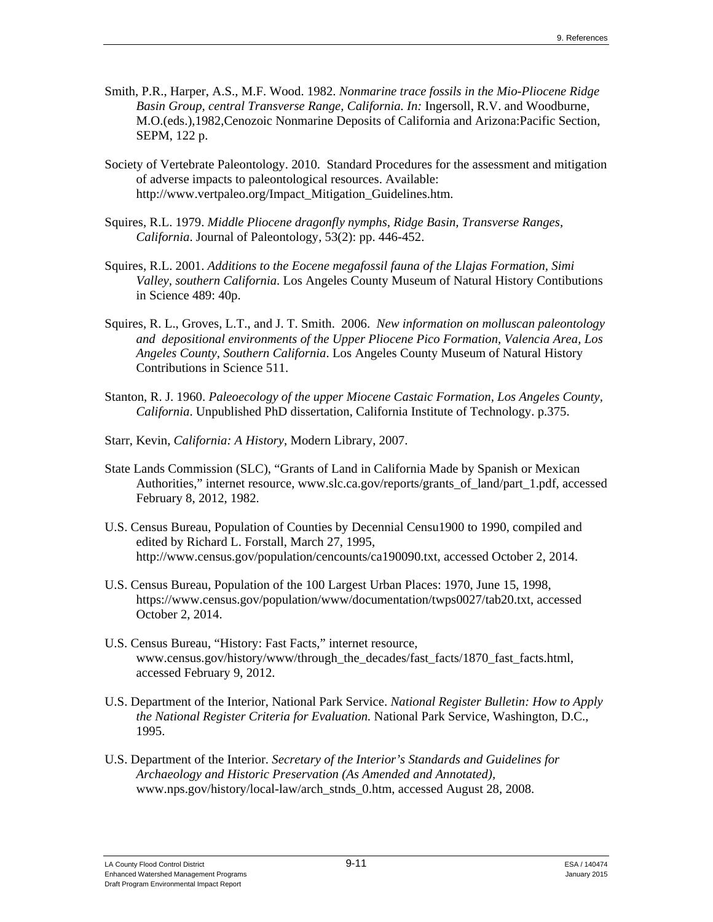- Smith, P.R., Harper, A.S., M.F. Wood. 1982. *Nonmarine trace fossils in the Mio-Pliocene Ridge Basin Group, central Transverse Range, California. In:* Ingersoll, R.V. and Woodburne, M.O.(eds.),1982,Cenozoic Nonmarine Deposits of California and Arizona:Pacific Section, SEPM, 122 p.
- Society of Vertebrate Paleontology. 2010. Standard Procedures for the assessment and mitigation of adverse impacts to paleontological resources. Available: http://www.vertpaleo.org/Impact\_Mitigation\_Guidelines.htm.
- Squires, R.L. 1979. *Middle Pliocene dragonfly nymphs, Ridge Basin, Transverse Ranges, California*. Journal of Paleontology, 53(2): pp. 446-452.
- Squires, R.L. 2001. *Additions to the Eocene megafossil fauna of the Llajas Formation, Simi Valley, southern California*. Los Angeles County Museum of Natural History Contibutions in Science 489: 40p.
- Squires, R. L., Groves, L.T., and J. T. Smith. 2006. *New information on molluscan paleontology and depositional environments of the Upper Pliocene Pico Formation, Valencia Area, Los Angeles County, Southern California*. Los Angeles County Museum of Natural History Contributions in Science 511.
- Stanton, R. J. 1960. *Paleoecology of the upper Miocene Castaic Formation, Los Angeles County, California*. Unpublished PhD dissertation, California Institute of Technology. p.375.
- Starr, Kevin, *California: A History*, Modern Library, 2007.
- State Lands Commission (SLC), "Grants of Land in California Made by Spanish or Mexican Authorities," internet resource, www.slc.ca.gov/reports/grants\_of\_land/part\_1.pdf, accessed February 8, 2012, 1982.
- U.S. Census Bureau, Population of Counties by Decennial Censu1900 to 1990, compiled and edited by Richard L. Forstall, March 27, 1995, http://www.census.gov/population/cencounts/ca190090.txt, accessed October 2, 2014.
- U.S. Census Bureau, Population of the 100 Largest Urban Places: 1970, June 15, 1998, https://www.census.gov/population/www/documentation/twps0027/tab20.txt, accessed October 2, 2014.
- U.S. Census Bureau, "History: Fast Facts," internet resource, www.census.gov/history/www/through\_the\_decades/fast\_facts/1870\_fast\_facts.html, accessed February 9, 2012.
- U.S. Department of the Interior, National Park Service. *National Register Bulletin: How to Apply the National Register Criteria for Evaluation.* National Park Service, Washington, D.C., 1995.
- U.S. Department of the Interior. *Secretary of the Interior's Standards and Guidelines for Archaeology and Historic Preservation (As Amended and Annotated),*  www.nps.gov/history/local-law/arch\_stnds\_0.htm, accessed August 28, 2008.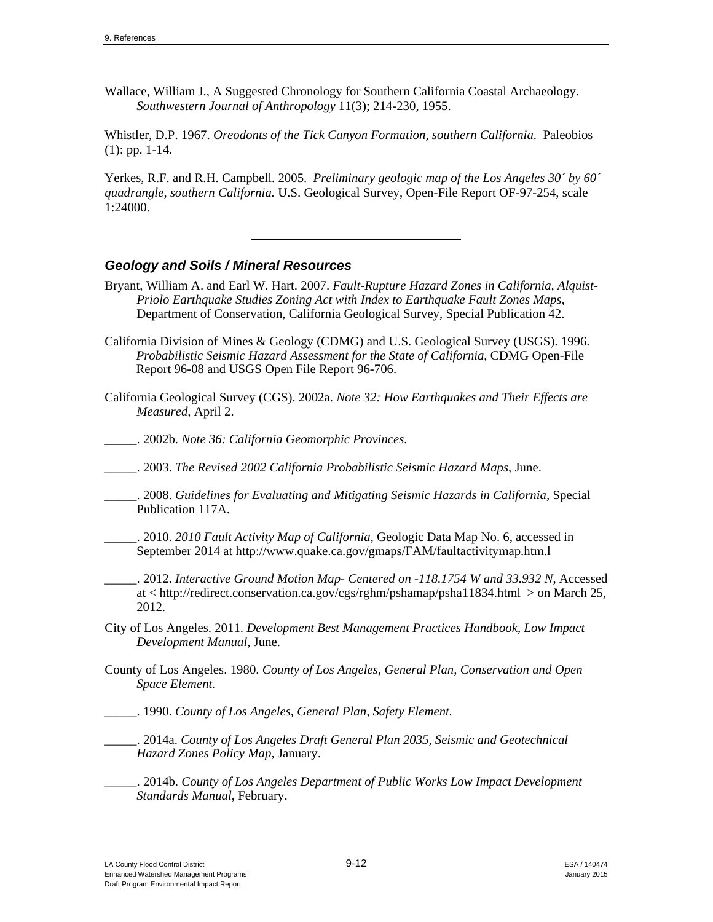Wallace, William J., A Suggested Chronology for Southern California Coastal Archaeology. *Southwestern Journal of Anthropology* 11(3); 214-230, 1955.

Whistler, D.P. 1967. *Oreodonts of the Tick Canyon Formation, southern California*. Paleobios (1): pp. 1-14.

Yerkes, R.F. and R.H. Campbell. 2005. *Preliminary geologic map of the Los Angeles 30´ by 60´ quadrangle, southern California.* U.S. Geological Survey, Open-File Report OF-97-254, scale 1:24000.

# *Geology and Soils / Mineral Resources*

- Bryant, William A. and Earl W. Hart. 2007. *Fault-Rupture Hazard Zones in California, Alquist-Priolo Earthquake Studies Zoning Act with Index to Earthquake Fault Zones Maps*, Department of Conservation, California Geological Survey, Special Publication 42.
- California Division of Mines & Geology (CDMG) and U.S. Geological Survey (USGS). 1996. *Probabilistic Seismic Hazard Assessment for the State of California*, CDMG Open-File Report 96-08 and USGS Open File Report 96-706.
- California Geological Survey (CGS). 2002a. *Note 32: How Earthquakes and Their Effects are Measured,* April 2.
- \_\_\_\_\_. 2002b. *Note 36: California Geomorphic Provinces.*
- \_\_\_\_\_. 2003. *The Revised 2002 California Probabilistic Seismic Hazard Maps*, June.
- \_\_\_\_\_. 2008. *Guidelines for Evaluating and Mitigating Seismic Hazards in California,* Special Publication 117A.
- \_\_\_\_\_. 2010. *2010 Fault Activity Map of California*, Geologic Data Map No. 6, accessed in September 2014 at http://www.quake.ca.gov/gmaps/FAM/faultactivitymap.htm.l
- \_\_\_\_\_. 2012. *Interactive Ground Motion Map- Centered on -118.1754 W and 33.932 N*, Accessed at < http://redirect.conservation.ca.gov/cgs/rghm/pshamap/psha11834.html > on March 25, 2012.
- City of Los Angeles. 2011. *Development Best Management Practices Handbook, Low Impact Development Manual*, June.
- County of Los Angeles. 1980. *County of Los Angeles, General Plan, Conservation and Open Space Element.*
- \_\_\_\_\_. 1990. *County of Los Angeles, General Plan, Safety Element.*
- \_\_\_\_\_. 2014a. *County of Los Angeles Draft General Plan 2035, Seismic and Geotechnical Hazard Zones Policy Map,* January.
	- \_\_\_\_\_. 2014b. *County of Los Angeles Department of Public Works Low Impact Development Standards Manual*, February.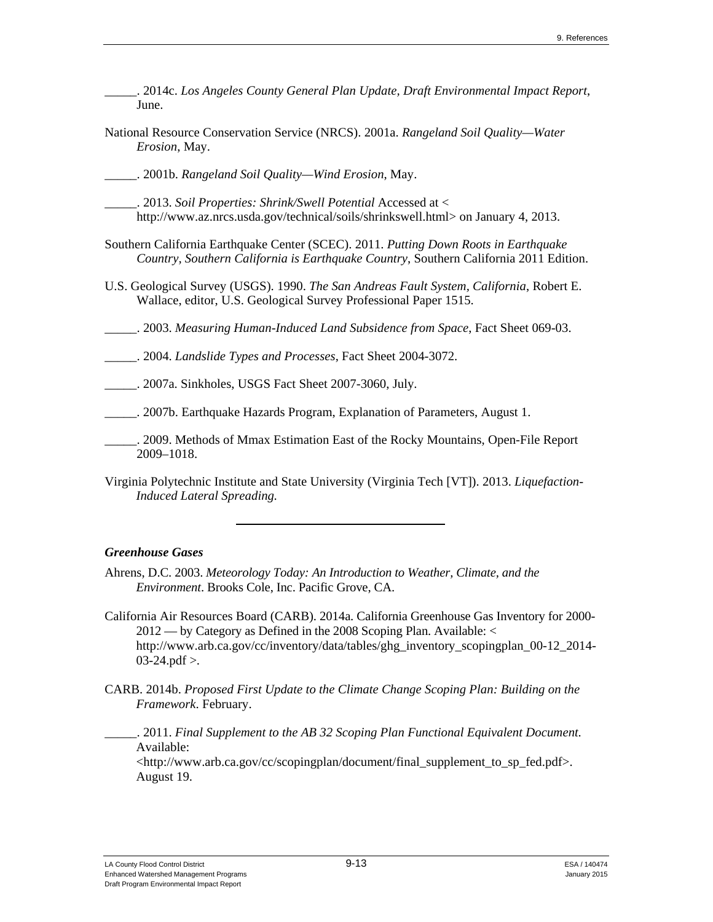- \_\_\_\_\_. 2014c. *Los Angeles County General Plan Update, Draft Environmental Impact Report*, June.
- National Resource Conservation Service (NRCS). 2001a. *Rangeland Soil Quality—Water Erosion*, May.
- \_\_\_\_\_. 2001b. *Rangeland Soil Quality—Wind Erosion*, May.
- \_\_\_\_\_. 2013. *Soil Properties: Shrink/Swell Potential* Accessed at < http://www.az.nrcs.usda.gov/technical/soils/shrinkswell.html> on January 4, 2013.
- Southern California Earthquake Center (SCEC). 2011. *Putting Down Roots in Earthquake Country, Southern California is Earthquake Country*, Southern California 2011 Edition.
- U.S. Geological Survey (USGS). 1990. *The San Andreas Fault System, California*, Robert E. Wallace, editor, U.S. Geological Survey Professional Paper 1515.
- \_\_\_\_\_. 2003. *Measuring Human-Induced Land Subsidence from Space*, Fact Sheet 069-03.
- \_\_\_\_\_. 2004. *Landslide Types and Processes*, Fact Sheet 2004-3072.
- \_\_\_\_\_. 2007a. Sinkholes, USGS Fact Sheet 2007-3060, July.
- \_\_\_\_\_. 2007b. Earthquake Hazards Program, Explanation of Parameters, August 1.
- \_\_\_\_\_. 2009. Methods of Mmax Estimation East of the Rocky Mountains, Open-File Report 2009–1018.
- Virginia Polytechnic Institute and State University (Virginia Tech [VT]). 2013. *Liquefaction-Induced Lateral Spreading.*

#### *Greenhouse Gases*

- Ahrens, D.C. 2003. *Meteorology Today: An Introduction to Weather, Climate, and the Environment*. Brooks Cole, Inc. Pacific Grove, CA.
- California Air Resources Board (CARB). 2014a. California Greenhouse Gas Inventory for 2000- 2012 — by Category as Defined in the 2008 Scoping Plan. Available: < http://www.arb.ca.gov/cc/inventory/data/tables/ghg\_inventory\_scopingplan\_00-12\_2014-  $03-24.pdf$ .
- CARB. 2014b. *Proposed First Update to the Climate Change Scoping Plan: Building on the Framework*. February.
	- \_\_\_\_\_. 2011. *Final Supplement to the AB 32 Scoping Plan Functional Equivalent Document.*  Available: <http://www.arb.ca.gov/cc/scopingplan/document/final\_supplement\_to\_sp\_fed.pdf>. August 19.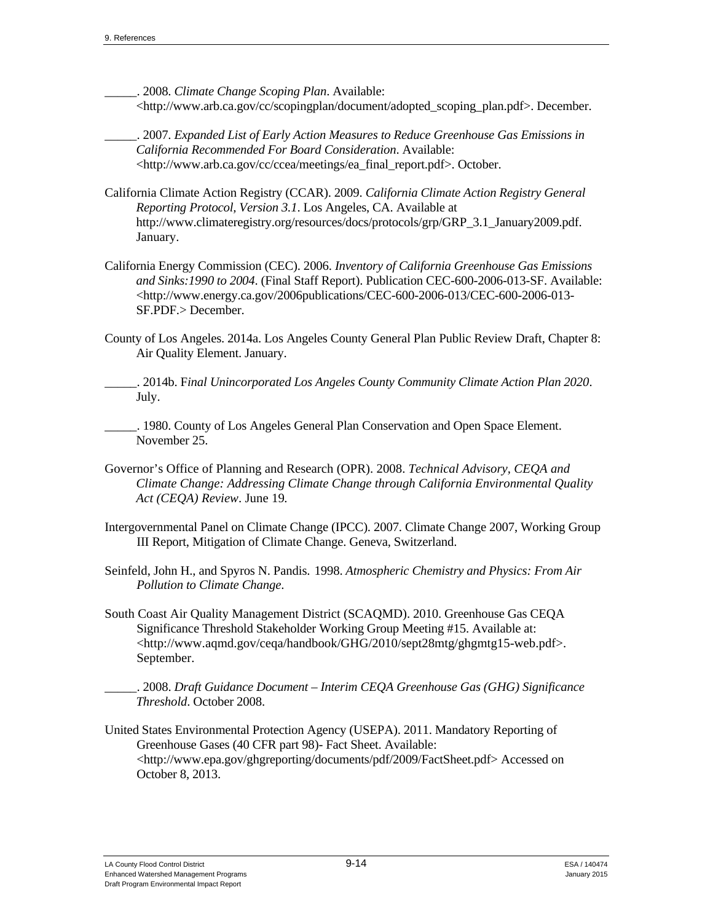\_\_\_\_\_. 2008. *Climate Change Scoping Plan*. Available: <http://www.arb.ca.gov/cc/scopingplan/document/adopted\_scoping\_plan.pdf>. December.

\_\_\_\_\_. 2007. *Expanded List of Early Action Measures to Reduce Greenhouse Gas Emissions in California Recommended For Board Consideration*. Available: <http://www.arb.ca.gov/cc/ccea/meetings/ea\_final\_report.pdf>. October.

- California Climate Action Registry (CCAR). 2009. *California Climate Action Registry General Reporting Protocol, Version 3.1*. Los Angeles, CA. Available at http://www.climateregistry.org/resources/docs/protocols/grp/GRP\_3.1\_January2009.pdf. January.
- California Energy Commission (CEC). 2006. *Inventory of California Greenhouse Gas Emissions and Sinks:1990 to 2004*. (Final Staff Report). Publication CEC-600-2006-013-SF. Available: <http://www.energy.ca.gov/2006publications/CEC-600-2006-013/CEC-600-2006-013- SF.PDF.> December.
- County of Los Angeles. 2014a. Los Angeles County General Plan Public Review Draft, Chapter 8: Air Quality Element. January.
- \_\_\_\_\_. 2014b. F*inal Unincorporated Los Angeles County Community Climate Action Plan 2020*. July.
- \_\_\_\_\_. 1980. County of Los Angeles General Plan Conservation and Open Space Element. November 25.
- Governor's Office of Planning and Research (OPR). 2008. *Technical Advisory, CEQA and Climate Change: Addressing Climate Change through California Environmental Quality Act (CEQA) Review*. June 19*.*
- Intergovernmental Panel on Climate Change (IPCC). 2007. Climate Change 2007, Working Group III Report, Mitigation of Climate Change. Geneva, Switzerland.
- Seinfeld, John H., and Spyros N. Pandis. 1998. *Atmospheric Chemistry and Physics: From Air Pollution to Climate Change*.
- South Coast Air Quality Management District (SCAQMD). 2010. Greenhouse Gas CEQA Significance Threshold Stakeholder Working Group Meeting #15. Available at: <http://www.aqmd.gov/ceqa/handbook/GHG/2010/sept28mtg/ghgmtg15-web.pdf>. September.

\_\_\_\_\_. 2008. *Draft Guidance Document – Interim CEQA Greenhouse Gas (GHG) Significance Threshold*. October 2008.

United States Environmental Protection Agency (USEPA). 2011. Mandatory Reporting of Greenhouse Gases (40 CFR part 98)- Fact Sheet. Available: <http://www.epa.gov/ghgreporting/documents/pdf/2009/FactSheet.pdf> Accessed on October 8, 2013.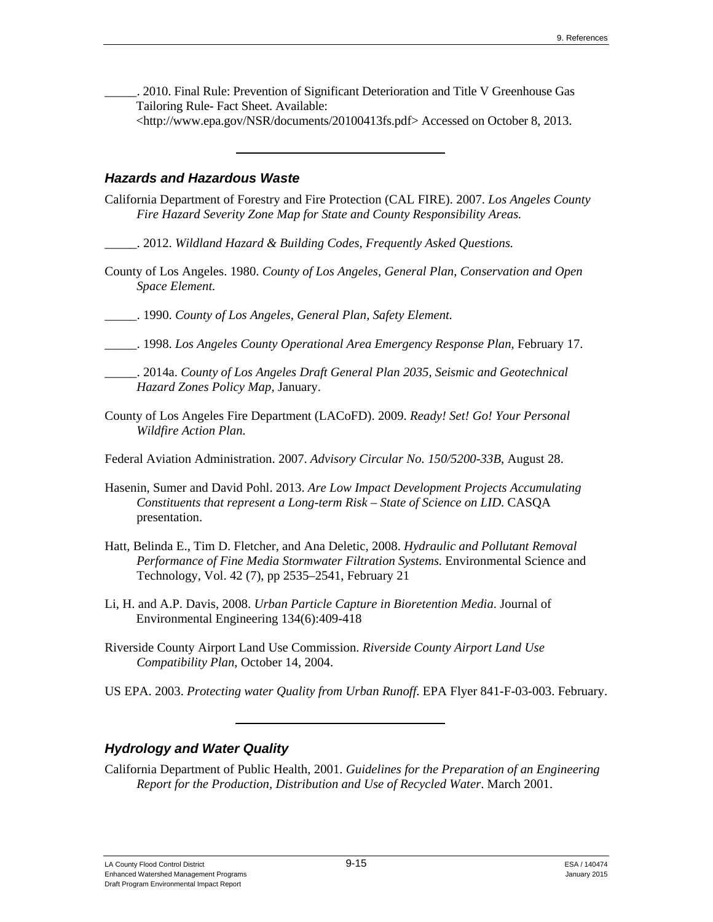\_\_\_\_\_. 2010. Final Rule: Prevention of Significant Deterioration and Title V Greenhouse Gas Tailoring Rule- Fact Sheet. Available:

<http://www.epa.gov/NSR/documents/20100413fs.pdf> Accessed on October 8, 2013.

#### *Hazards and Hazardous Waste*

- California Department of Forestry and Fire Protection (CAL FIRE). 2007. *Los Angeles County Fire Hazard Severity Zone Map for State and County Responsibility Areas.* 
	- \_\_\_\_\_. 2012. *Wildland Hazard & Building Codes, Frequently Asked Questions.*
- County of Los Angeles. 1980. *County of Los Angeles, General Plan, Conservation and Open Space Element.*
- \_\_\_\_\_. 1990. *County of Los Angeles, General Plan, Safety Element.*
- \_\_\_\_\_. 1998. *Los Angeles County Operational Area Emergency Response Plan,* February 17.
- \_\_\_\_\_. 2014a. *County of Los Angeles Draft General Plan 2035, Seismic and Geotechnical Hazard Zones Policy Map,* January.
- County of Los Angeles Fire Department (LACoFD). 2009. *Ready! Set! Go! Your Personal Wildfire Action Plan.*
- Federal Aviation Administration. 2007. *Advisory Circular No. 150/5200-33B*, August 28.
- Hasenin, Sumer and David Pohl. 2013. *Are Low Impact Development Projects Accumulating Constituents that represent a Long-term Risk – State of Science on LID*. CASQA presentation.
- Hatt, Belinda E., Tim D. Fletcher, and Ana Deletic, 2008. *Hydraulic and Pollutant Removal Performance of Fine Media Stormwater Filtration Systems*. Environmental Science and Technology, Vol. 42 (7), pp 2535–2541, February 21
- Li, H. and A.P. Davis, 2008. *Urban Particle Capture in Bioretention Media*. Journal of Environmental Engineering 134(6):409-418
- Riverside County Airport Land Use Commission. *Riverside County Airport Land Use Compatibility Plan*, October 14, 2004.
- US EPA. 2003. *Protecting water Quality from Urban Runoff*. EPA Flyer 841-F-03-003. February.

# *Hydrology and Water Quality*

California Department of Public Health, 2001. *Guidelines for the Preparation of an Engineering Report for the Production, Distribution and Use of Recycled Water*. March 2001.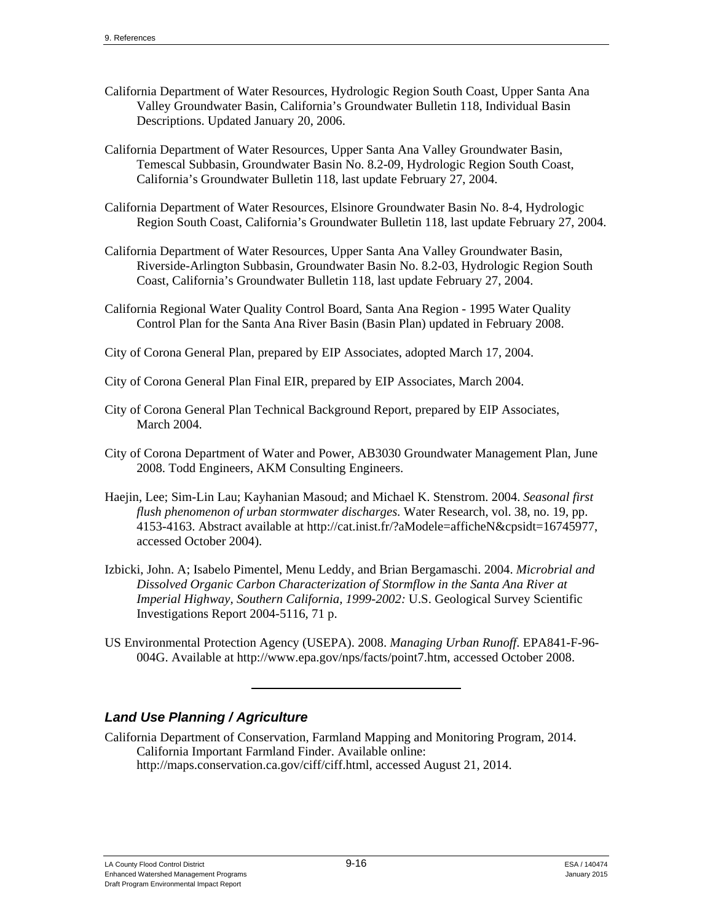- California Department of Water Resources, Hydrologic Region South Coast, Upper Santa Ana Valley Groundwater Basin, California's Groundwater Bulletin 118, Individual Basin Descriptions. Updated January 20, 2006.
- California Department of Water Resources, Upper Santa Ana Valley Groundwater Basin, Temescal Subbasin, Groundwater Basin No. 8.2-09, Hydrologic Region South Coast, California's Groundwater Bulletin 118, last update February 27, 2004.
- California Department of Water Resources, Elsinore Groundwater Basin No. 8-4, Hydrologic Region South Coast, California's Groundwater Bulletin 118, last update February 27, 2004.
- California Department of Water Resources, Upper Santa Ana Valley Groundwater Basin, Riverside-Arlington Subbasin, Groundwater Basin No. 8.2-03, Hydrologic Region South Coast, California's Groundwater Bulletin 118, last update February 27, 2004.
- California Regional Water Quality Control Board, Santa Ana Region 1995 Water Quality Control Plan for the Santa Ana River Basin (Basin Plan) updated in February 2008.
- City of Corona General Plan, prepared by EIP Associates, adopted March 17, 2004.
- City of Corona General Plan Final EIR, prepared by EIP Associates, March 2004.
- City of Corona General Plan Technical Background Report, prepared by EIP Associates, March 2004.
- City of Corona Department of Water and Power, AB3030 Groundwater Management Plan, June 2008. Todd Engineers, AKM Consulting Engineers.
- Haejin, Lee; Sim-Lin Lau; Kayhanian Masoud; and Michael K. Stenstrom. 2004. *Seasonal first flush phenomenon of urban stormwater discharges.* Water Research, vol. 38, no. 19, pp. 4153-4163. Abstract available at http://cat.inist.fr/?aModele=afficheN&cpsidt=16745977, accessed October 2004).
- Izbicki, John. A; Isabelo Pimentel, Menu Leddy, and Brian Bergamaschi. 2004. *Microbrial and Dissolved Organic Carbon Characterization of Stormflow in the Santa Ana River at Imperial Highway, Southern California, 1999-2002:* U.S. Geological Survey Scientific Investigations Report 2004-5116, 71 p.
- US Environmental Protection Agency (USEPA). 2008. *Managing Urban Runoff*. EPA841-F-96- 004G. Available at http://www.epa.gov/nps/facts/point7.htm, accessed October 2008.

# *Land Use Planning / Agriculture*

California Department of Conservation, Farmland Mapping and Monitoring Program, 2014. California Important Farmland Finder. Available online: http://maps.conservation.ca.gov/ciff/ciff.html, accessed August 21, 2014.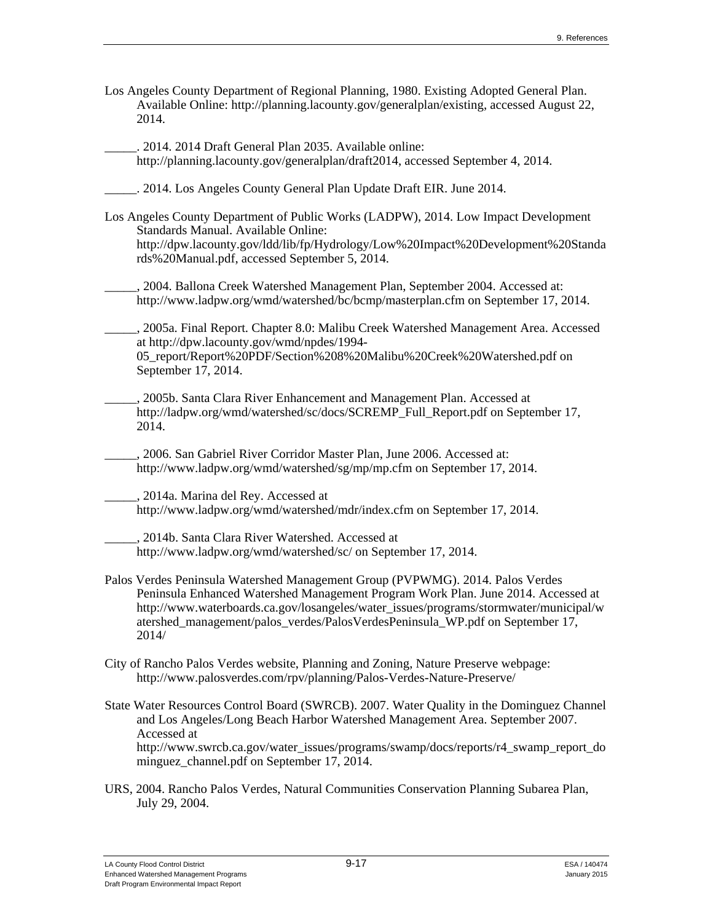- Los Angeles County Department of Regional Planning, 1980. Existing Adopted General Plan. Available Online: http://planning.lacounty.gov/generalplan/existing, accessed August 22, 2014.
- . 2014. 2014 Draft General Plan 2035. Available online: http://planning.lacounty.gov/generalplan/draft2014, accessed September 4, 2014.
- \_\_\_\_\_. 2014. Los Angeles County General Plan Update Draft EIR. June 2014.
- Los Angeles County Department of Public Works (LADPW), 2014. Low Impact Development Standards Manual. Available Online: http://dpw.lacounty.gov/ldd/lib/fp/Hydrology/Low%20Impact%20Development%20Standa rds%20Manual.pdf, accessed September 5, 2014.
- \_\_\_\_\_, 2004. Ballona Creek Watershed Management Plan, September 2004. Accessed at: http://www.ladpw.org/wmd/watershed/bc/bcmp/masterplan.cfm on September 17, 2014.
- \_\_\_\_\_, 2005a. Final Report. Chapter 8.0: Malibu Creek Watershed Management Area. Accessed at http://dpw.lacounty.gov/wmd/npdes/1994- 05\_report/Report%20PDF/Section%208%20Malibu%20Creek%20Watershed.pdf on September 17, 2014.
- \_\_\_\_\_, 2005b. Santa Clara River Enhancement and Management Plan. Accessed at http://ladpw.org/wmd/watershed/sc/docs/SCREMP\_Full\_Report.pdf on September 17, 2014.
- \_\_\_\_\_, 2006. San Gabriel River Corridor Master Plan, June 2006. Accessed at: http://www.ladpw.org/wmd/watershed/sg/mp/mp.cfm on September 17, 2014.
- \_\_\_\_\_, 2014a. Marina del Rey. Accessed at http://www.ladpw.org/wmd/watershed/mdr/index.cfm on September 17, 2014.
- \_\_\_\_\_, 2014b. Santa Clara River Watershed. Accessed at http://www.ladpw.org/wmd/watershed/sc/ on September 17, 2014.
- Palos Verdes Peninsula Watershed Management Group (PVPWMG). 2014. Palos Verdes Peninsula Enhanced Watershed Management Program Work Plan. June 2014. Accessed at http://www.waterboards.ca.gov/losangeles/water\_issues/programs/stormwater/municipal/w atershed\_management/palos\_verdes/PalosVerdesPeninsula\_WP.pdf on September 17, 2014/
- City of Rancho Palos Verdes website, Planning and Zoning, Nature Preserve webpage: http://www.palosverdes.com/rpv/planning/Palos-Verdes-Nature-Preserve/
- State Water Resources Control Board (SWRCB). 2007. Water Quality in the Dominguez Channel and Los Angeles/Long Beach Harbor Watershed Management Area. September 2007. Accessed at http://www.swrcb.ca.gov/water\_issues/programs/swamp/docs/reports/r4\_swamp\_report\_do minguez channel.pdf on September 17, 2014.
- URS, 2004. Rancho Palos Verdes, Natural Communities Conservation Planning Subarea Plan, July 29, 2004.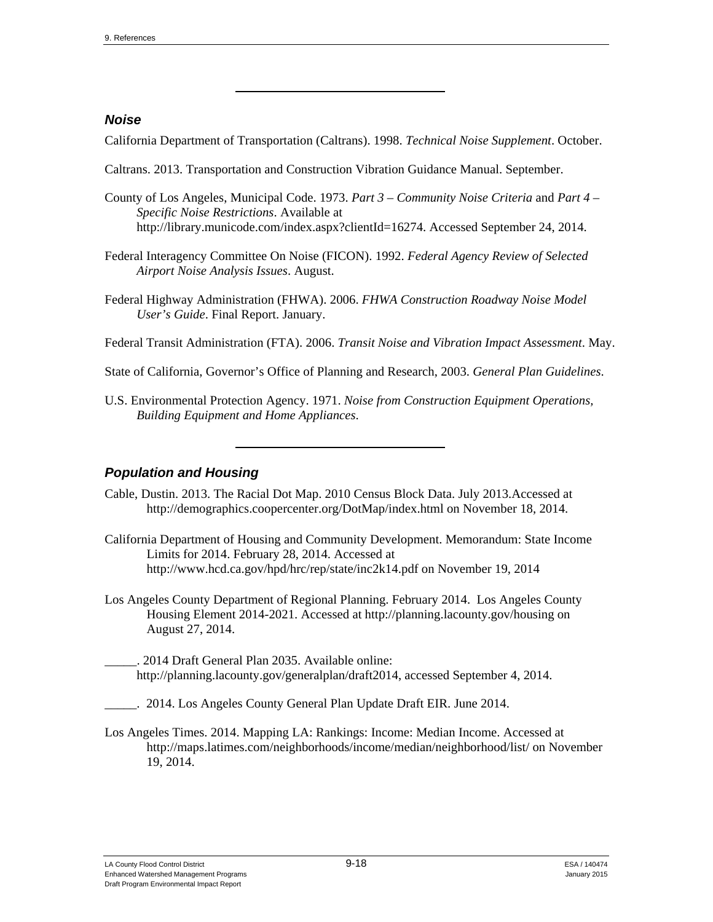# *Noise*

California Department of Transportation (Caltrans). 1998. *Technical Noise Supplement*. October.

- Caltrans. 2013. Transportation and Construction Vibration Guidance Manual. September.
- County of Los Angeles, Municipal Code. 1973. *Part 3 Community Noise Criteria* and *Part 4 Specific Noise Restrictions*. Available at http://library.municode.com/index.aspx?clientId=16274. Accessed September 24, 2014.
- Federal Interagency Committee On Noise (FICON). 1992. *Federal Agency Review of Selected Airport Noise Analysis Issues*. August.
- Federal Highway Administration (FHWA). 2006. *FHWA Construction Roadway Noise Model User's Guide*. Final Report. January.

Federal Transit Administration (FTA). 2006. *Transit Noise and Vibration Impact Assessment*. May.

State of California, Governor's Office of Planning and Research, 2003. *General Plan Guidelines*.

U.S. Environmental Protection Agency. 1971. *Noise from Construction Equipment Operations, Building Equipment and Home Appliances*.

# *Population and Housing*

- Cable, Dustin. 2013. The Racial Dot Map. 2010 Census Block Data. July 2013.Accessed at http://demographics.coopercenter.org/DotMap/index.html on November 18, 2014.
- California Department of Housing and Community Development. Memorandum: State Income Limits for 2014. February 28, 2014. Accessed at http://www.hcd.ca.gov/hpd/hrc/rep/state/inc2k14.pdf on November 19, 2014
- Los Angeles County Department of Regional Planning. February 2014. Los Angeles County Housing Element 2014-2021. Accessed at http://planning.lacounty.gov/housing on August 27, 2014.
- \_\_\_\_\_. 2014 Draft General Plan 2035. Available online: http://planning.lacounty.gov/generalplan/draft2014, accessed September 4, 2014.
- . 2014. Los Angeles County General Plan Update Draft EIR. June 2014.
- Los Angeles Times. 2014. Mapping LA: Rankings: Income: Median Income. Accessed at http://maps.latimes.com/neighborhoods/income/median/neighborhood/list/ on November 19, 2014.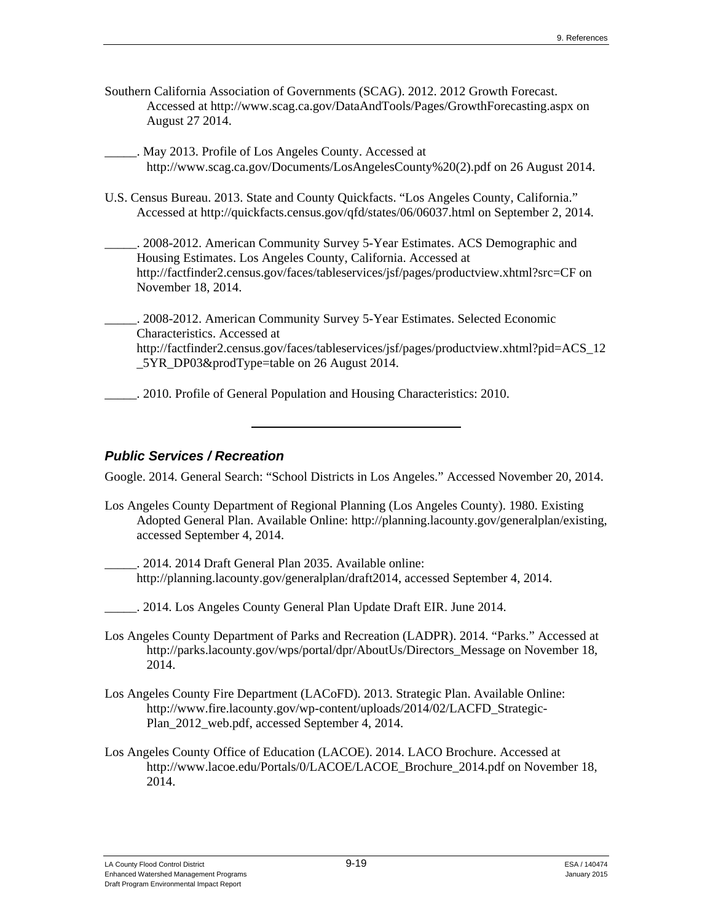Southern California Association of Governments (SCAG). 2012. 2012 Growth Forecast. Accessed at http://www.scag.ca.gov/DataAndTools/Pages/GrowthForecasting.aspx on August 27 2014.

\_\_\_\_\_. May 2013. Profile of Los Angeles County. Accessed at http://www.scag.ca.gov/Documents/LosAngelesCounty%20(2).pdf on 26 August 2014.

U.S. Census Bureau. 2013. State and County Quickfacts. "Los Angeles County, California." Accessed at http://quickfacts.census.gov/qfd/states/06/06037.html on September 2, 2014.

2008-2012. American Community Survey 5-Year Estimates. ACS Demographic and Housing Estimates. Los Angeles County, California. Accessed at http://factfinder2.census.gov/faces/tableservices/jsf/pages/productview.xhtml?src=CF on November 18, 2014.

\_\_\_\_\_. 2008-2012. American Community Survey 5-Year Estimates. Selected Economic Characteristics. Accessed at http://factfinder2.census.gov/faces/tableservices/jsf/pages/productview.xhtml?pid=ACS 12 \_5YR\_DP03&prodType=table on 26 August 2014.

\_\_\_\_\_. 2010. Profile of General Population and Housing Characteristics: 2010.

# *Public Services / Recreation*

Google. 2014. General Search: "School Districts in Los Angeles." Accessed November 20, 2014.

Los Angeles County Department of Regional Planning (Los Angeles County). 1980. Existing Adopted General Plan. Available Online: http://planning.lacounty.gov/generalplan/existing, accessed September 4, 2014.

\_\_\_\_\_. 2014. 2014 Draft General Plan 2035. Available online: http://planning.lacounty.gov/generalplan/draft2014, accessed September 4, 2014.

\_\_\_\_\_. 2014. Los Angeles County General Plan Update Draft EIR. June 2014.

- Los Angeles County Department of Parks and Recreation (LADPR). 2014. "Parks." Accessed at http://parks.lacounty.gov/wps/portal/dpr/AboutUs/Directors\_Message on November 18, 2014.
- Los Angeles County Fire Department (LACoFD). 2013. Strategic Plan. Available Online: http://www.fire.lacounty.gov/wp-content/uploads/2014/02/LACFD\_Strategic-Plan\_2012\_web.pdf, accessed September 4, 2014.
- Los Angeles County Office of Education (LACOE). 2014. LACO Brochure. Accessed at http://www.lacoe.edu/Portals/0/LACOE/LACOE\_Brochure\_2014.pdf on November 18, 2014.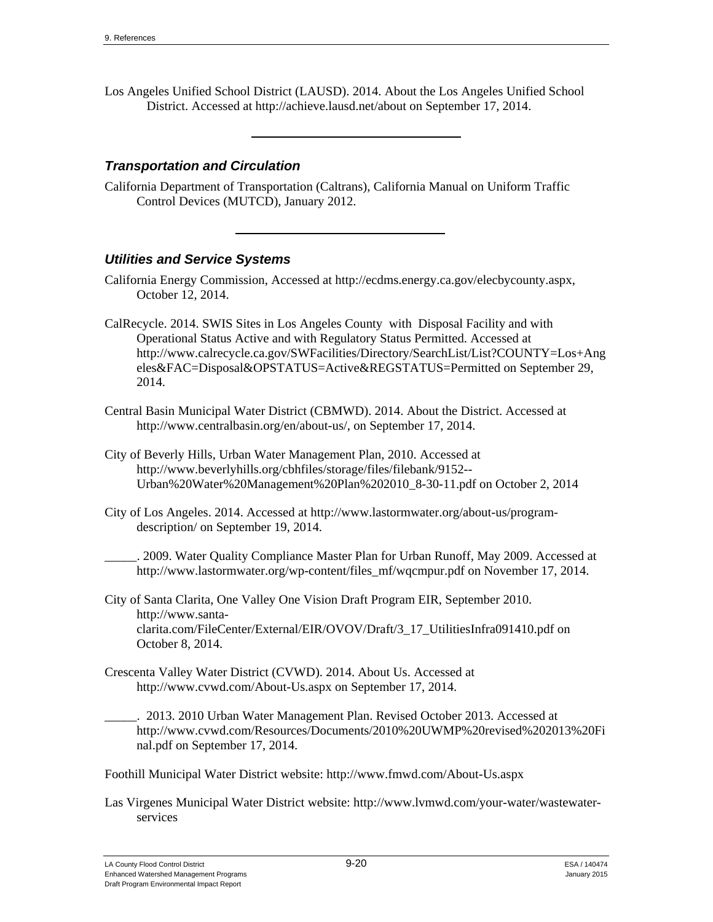Los Angeles Unified School District (LAUSD). 2014. About the Los Angeles Unified School District. Accessed at http://achieve.lausd.net/about on September 17, 2014.

## *Transportation and Circulation*

California Department of Transportation (Caltrans), California Manual on Uniform Traffic Control Devices (MUTCD), January 2012.

# *Utilities and Service Systems*

- California Energy Commission, Accessed at http://ecdms.energy.ca.gov/elecbycounty.aspx, October 12, 2014.
- CalRecycle. 2014. SWIS Sites in Los Angeles County with Disposal Facility and with Operational Status Active and with Regulatory Status Permitted. Accessed at http://www.calrecycle.ca.gov/SWFacilities/Directory/SearchList/List?COUNTY=Los+Ang eles&FAC=Disposal&OPSTATUS=Active&REGSTATUS=Permitted on September 29, 2014.
- Central Basin Municipal Water District (CBMWD). 2014. About the District. Accessed at http://www.centralbasin.org/en/about-us/, on September 17, 2014.
- City of Beverly Hills, Urban Water Management Plan, 2010. Accessed at http://www.beverlyhills.org/cbhfiles/storage/files/filebank/9152-- Urban%20Water%20Management%20Plan%202010\_8-30-11.pdf on October 2, 2014
- City of Los Angeles. 2014. Accessed at http://www.lastormwater.org/about-us/programdescription/ on September 19, 2014.

\_\_\_\_\_. 2009. Water Quality Compliance Master Plan for Urban Runoff, May 2009. Accessed at http://www.lastormwater.org/wp-content/files\_mf/wqcmpur.pdf on November 17, 2014.

- City of Santa Clarita, One Valley One Vision Draft Program EIR, September 2010. http://www.santaclarita.com/FileCenter/External/EIR/OVOV/Draft/3\_17\_UtilitiesInfra091410.pdf on October 8, 2014.
- Crescenta Valley Water District (CVWD). 2014. About Us. Accessed at http://www.cvwd.com/About-Us.aspx on September 17, 2014.

\_\_\_\_\_. 2013. 2010 Urban Water Management Plan. Revised October 2013. Accessed at http://www.cvwd.com/Resources/Documents/2010%20UWMP%20revised%202013%20Fi nal.pdf on September 17, 2014.

Foothill Municipal Water District website: http://www.fmwd.com/About-Us.aspx

Las Virgenes Municipal Water District website: http://www.lvmwd.com/your-water/wastewaterservices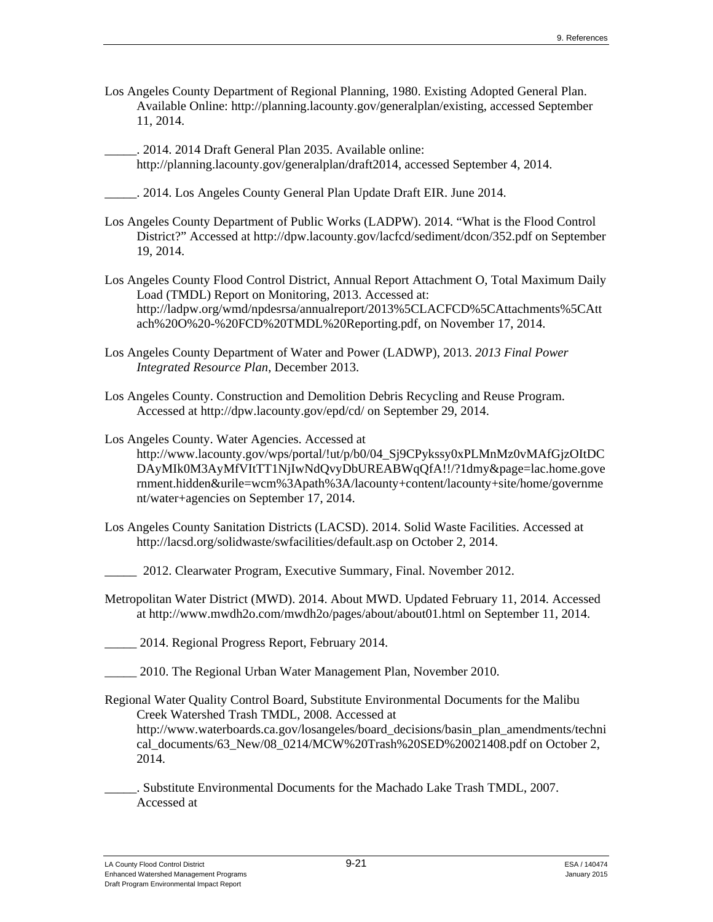- Los Angeles County Department of Regional Planning, 1980. Existing Adopted General Plan. Available Online: http://planning.lacounty.gov/generalplan/existing, accessed September 11, 2014.
- \_\_\_\_\_. 2014. 2014 Draft General Plan 2035. Available online: http://planning.lacounty.gov/generalplan/draft2014, accessed September 4, 2014.
- \_\_\_\_\_. 2014. Los Angeles County General Plan Update Draft EIR. June 2014.
- Los Angeles County Department of Public Works (LADPW). 2014. "What is the Flood Control District?" Accessed at http://dpw.lacounty.gov/lacfcd/sediment/dcon/352.pdf on September 19, 2014.
- Los Angeles County Flood Control District, Annual Report Attachment O, Total Maximum Daily Load (TMDL) Report on Monitoring, 2013. Accessed at: http://ladpw.org/wmd/npdesrsa/annualreport/2013%5CLACFCD%5CAttachments%5CAtt ach%20O%20-%20FCD%20TMDL%20Reporting.pdf, on November 17, 2014.
- Los Angeles County Department of Water and Power (LADWP), 2013. *2013 Final Power Integrated Resource Plan*, December 2013.
- Los Angeles County. Construction and Demolition Debris Recycling and Reuse Program. Accessed at http://dpw.lacounty.gov/epd/cd/ on September 29, 2014.
- Los Angeles County. Water Agencies. Accessed at http://www.lacounty.gov/wps/portal/!ut/p/b0/04\_Sj9CPykssy0xPLMnMz0vMAfGjzOItDC DAyMIk0M3AyMfVItTT1NjIwNdQvyDbUREABWqQfA!!/?1dmy&page=lac.home.gove rnment.hidden&urile=wcm%3Apath%3A/lacounty+content/lacounty+site/home/governme nt/water+agencies on September 17, 2014.
- Los Angeles County Sanitation Districts (LACSD). 2014. Solid Waste Facilities. Accessed at http://lacsd.org/solidwaste/swfacilities/default.asp on October 2, 2014.
	- \_\_\_\_\_ 2012. Clearwater Program, Executive Summary, Final. November 2012.
- Metropolitan Water District (MWD). 2014. About MWD. Updated February 11, 2014. Accessed at http://www.mwdh2o.com/mwdh2o/pages/about/about01.html on September 11, 2014.
- \_\_\_\_\_ 2014. Regional Progress Report, February 2014.
- \_\_\_\_\_ 2010. The Regional Urban Water Management Plan, November 2010.
- Regional Water Quality Control Board, Substitute Environmental Documents for the Malibu Creek Watershed Trash TMDL, 2008. Accessed at http://www.waterboards.ca.gov/losangeles/board\_decisions/basin\_plan\_amendments/techni cal\_documents/63\_New/08\_0214/MCW%20Trash%20SED%20021408.pdf on October 2, 2014.
- \_\_\_\_\_. Substitute Environmental Documents for the Machado Lake Trash TMDL, 2007. Accessed at